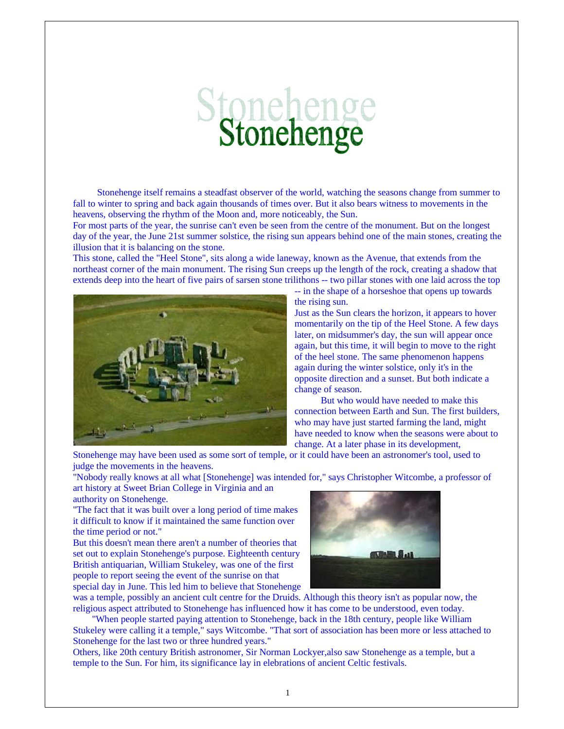## Stonehenge

 Stonehenge itself remains a steadfast observer of the world, watching the seasons change from summer to fall to winter to spring and back again thousands of times over. But it also bears witness to movements in the heavens, observing the rhythm of the Moon and, more noticeably, the Sun.

For most parts of the year, the sunrise can't even be seen from the centre of the monument. But on the longest day of the year, the June 21st summer solstice, the rising sun appears behind one of the main stones, creating the illusion that it is balancing on the stone.

This stone, called the "Heel Stone", sits along a wide laneway, known as the Avenue, that extends from the northeast corner of the main monument. The rising Sun creeps up the length of the rock, creating a shadow that extends deep into the heart of five pairs of sarsen stone trilithons -- two pillar stones with one laid across the top



-- in the shape of a horseshoe that opens up towards the rising sun.

Just as the Sun clears the horizon, it appears to hover momentarily on the tip of the Heel Stone. A few days later, on midsummer's day, the sun will appear once again, but this time, it will begin to move to the right of the heel stone. The same phenomenon happens again during the winter solstice, only it's in the opposite direction and a sunset. But both indicate a change of season.

 But who would have needed to make this connection between Earth and Sun. The first builders, who may have just started farming the land, might have needed to know when the seasons were about to change. At a later phase in its development,

Stonehenge may have been used as some sort of temple, or it could have been an astronomer's tool, used to judge the movements in the heavens.

"Nobody really knows at all what [Stonehenge] was intended for," says Christopher Witcombe, a professor of art history at Sweet Brian College in Virginia and an

authority on Stonehenge. "The fact that it was built over a long period of time makes it difficult to know if it maintained the same function over

the time period or not." But this doesn't mean there aren't a number of theories that

set out to explain Stonehenge's purpose. Eighteenth century British antiquarian, William Stukeley, was one of the first people to report seeing the event of the sunrise on that special day in June. This led him to believe that Stonehenge



was a temple, possibly an ancient cult centre for the Druids. Although this theory isn't as popular now, the religious aspect attributed to Stonehenge has influenced how it has come to be understood, even today.

 "When people started paying attention to Stonehenge, back in the 18th century, people like William Stukeley were calling it a temple," says Witcombe. "That sort of association has been more or less attached to Stonehenge for the last two or three hundred years."

Others, like 20th century British astronomer, Sir Norman Lockyer,also saw Stonehenge as a temple, but a temple to the Sun. For him, its significance lay in elebrations of ancient Celtic festivals.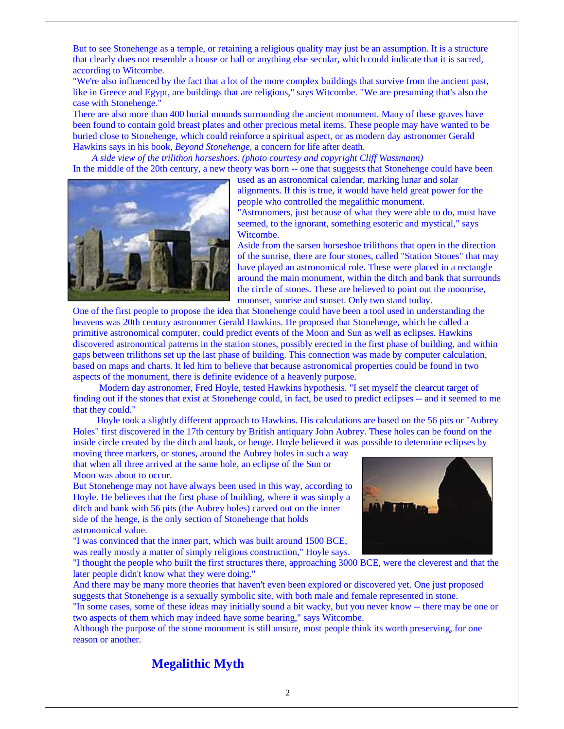But to see Stonehenge as a temple, or retaining a religious quality may just be an assumption. It is a structure that clearly does not resemble a house or hall or anything else secular, which could indicate that it is sacred, according to Witcombe.

"We're also influenced by the fact that a lot of the more complex buildings that survive from the ancient past, like in Greece and Egypt, are buildings that are religious," says Witcombe. "We are presuming that's also the case with Stonehenge."

There are also more than 400 burial mounds surrounding the ancient monument. Many of these graves have been found to contain gold breast plates and other precious metal items. These people may have wanted to be buried close to Stonehenge, which could reinforce a spiritual aspect, or as modern day astronomer Gerald Hawkins says in his book, *Beyond Stonehenge,* a concern for life after death.

 *A side view of the trilithon horseshoes. (photo courtesy and copyright Cliff Wassmann)* In the middle of the 20th century, a new theory was born -- one that suggests that Stonehenge could have been



used as an astronomical calendar, marking lunar and solar alignments. If this is true, it would have held great power for the people who controlled the megalithic monument. "Astronomers, just because of what they were able to do, must have

seemed, to the ignorant, something esoteric and mystical," says Witcombe.

Aside from the sarsen horseshoe trilithons that open in the direction of the sunrise, there are four stones, called "Station Stones" that may have played an astronomical role. These were placed in a rectangle around the main monument, within the ditch and bank that surrounds the circle of stones. These are believed to point out the moonrise, moonset, sunrise and sunset. Only two stand today.

One of the first people to propose the idea that Stonehenge could have been a tool used in understanding the heavens was 20th century astronomer Gerald Hawkins. He proposed that Stonehenge, which he called a primitive astronomical computer, could predict events of the Moon and Sun as well as eclipses. Hawkins discovered astronomical patterns in the station stones, possibly erected in the first phase of building, and within gaps between trilithons set up the last phase of building. This connection was made by computer calculation, based on maps and charts. It led him to believe that because astronomical properties could be found in two aspects of the monument, there is definite evidence of a heavenly purpose.

 Modern day astronomer, Fred Hoyle, tested Hawkins hypothesis. "I set myself the clearcut target of finding out if the stones that exist at Stonehenge could, in fact, be used to predict eclipses -- and it seemed to me that they could."

 Hoyle took a slightly different approach to Hawkins. His calculations are based on the 56 pits or "Aubrey Holes" first discovered in the 17th century by British antiquary John Aubrey. These holes can be found on the inside circle created by the ditch and bank, or henge. Hoyle believed it was possible to determine eclipses by

moving three markers, or stones, around the Aubrey holes in such a way that when all three arrived at the same hole, an eclipse of the Sun or Moon was about to occur.

But Stonehenge may not have always been used in this way, according to Hoyle. He believes that the first phase of building, where it was simply a ditch and bank with 56 pits (the Aubrey holes) carved out on the inner side of the henge, is the only section of Stonehenge that holds astronomical value.

"I was convinced that the inner part, which was built around 1500 BCE, was really mostly a matter of simply religious construction," Hoyle says.



"I thought the people who built the first structures there, approaching 3000 BCE, were the cleverest and that the later people didn't know what they were doing."

And there may be many more theories that haven't even been explored or discovered yet. One just proposed suggests that Stonehenge is a sexually symbolic site, with both male and female represented in stone.

"In some cases, some of these ideas may initially sound a bit wacky, but you never know -- there may be one or two aspects of them which may indeed have some bearing," says Witcombe.

Although the purpose of the stone monument is still unsure, most people think its worth preserving, for one reason or another.

## **Megalithic Myth**